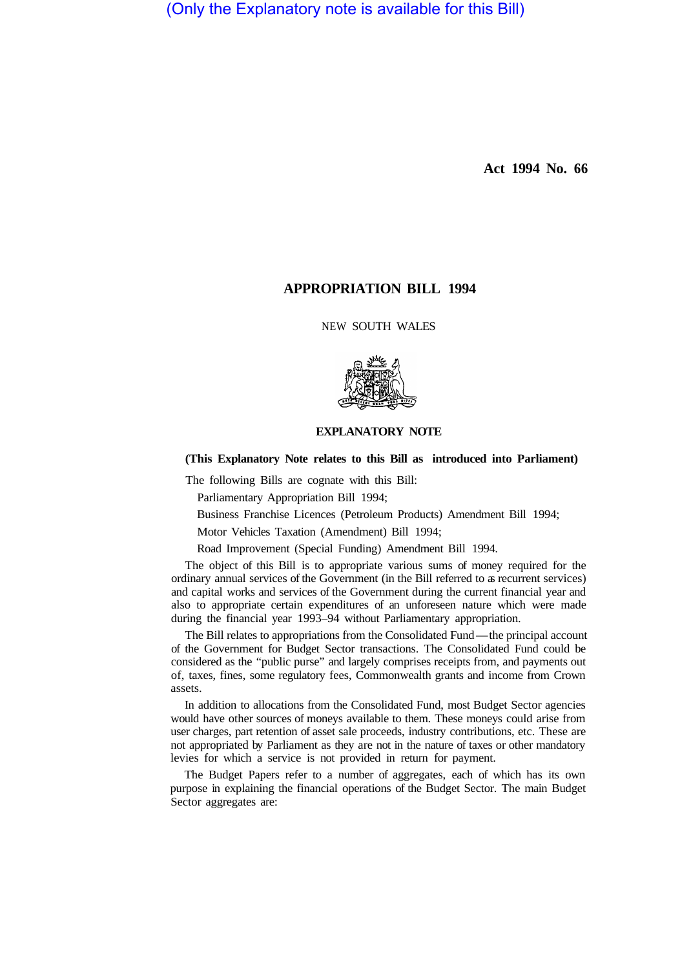(Only the Explanatory note is available for this Bill)

**Act 1994 No. 66** 

## **APPROPRIATION BILL 1994**

NEW SOUTH WALES



## **EXPLANATORY NOTE**

**(This Explanatory Note relates to this Bill as introduced into Parliament)** 

The following Bills are cognate with this Bill:

Parliamentary Appropriation Bill 1994;

Business Franchise Licences (Petroleum Products) Amendment Bill 1994;

Motor Vehicles Taxation (Amendment) Bill 1994;

Road Improvement (Special Funding) Amendment Bill 1994.

The object of this Bill is to appropriate various sums of money required for the ordinary annual services of the Government (in the Bill referred to as recurrent services) and capital works and services of the Government during the current financial year and also to appropriate certain expenditures of an unforeseen nature which were made during the financial year 1993–94 without Parliamentary appropriation.

The Bill relates to appropriations from the Consolidated Fund-the principal account of the Government for Budget Sector transactions. The Consolidated Fund could be considered as the "public purse" and largely comprises receipts from, and payments out of, taxes, fines, some regulatory fees, Commonwealth grants and income from Crown assets.

In addition to allocations from the Consolidated Fund, most Budget Sector agencies would have other sources of moneys available to them. These moneys could arise from user charges, part retention of asset sale proceeds, industry contributions, etc. These are not appropriated by Parliament as they are not in the nature of taxes or other mandatory levies for which a service is not provided in return for payment.

The Budget Papers refer to a number of aggregates, each of which has its own purpose in explaining the financial operations of the Budget Sector. The main Budget Sector aggregates are: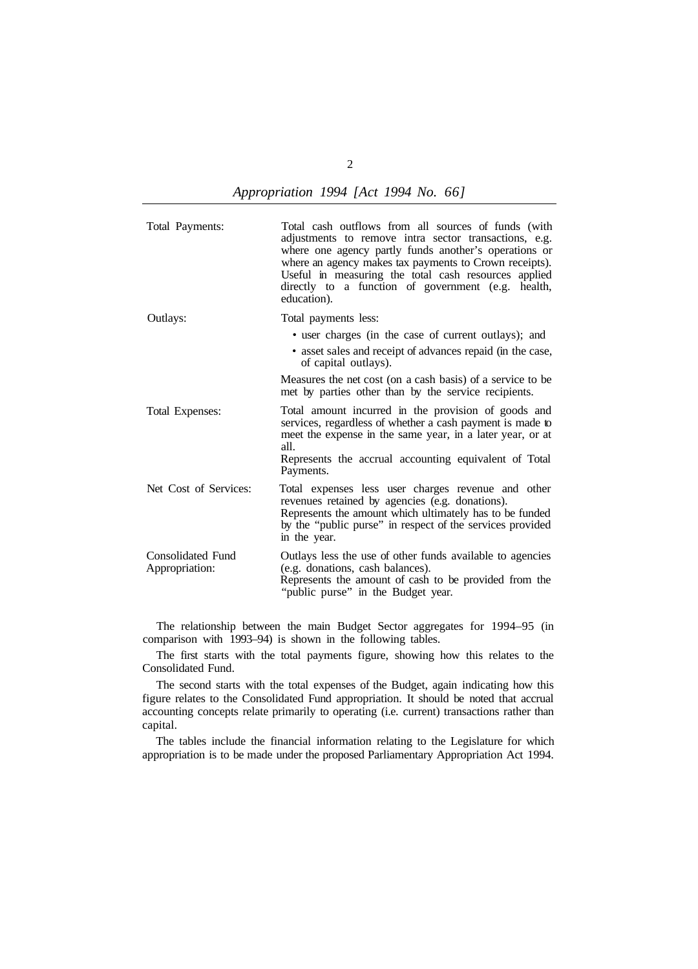|  | Appropriation 1994 [Act 1994 No. 66] |  |  |  |  |  |
|--|--------------------------------------|--|--|--|--|--|
|--|--------------------------------------|--|--|--|--|--|

Total Payments: Total cash outflows from all sources of funds (with adjustments to remove intra sector transactions, e.g. where one agency partly funds another's operations or where an agency makes tax payments to Crown receipts). Useful in measuring the total cash resources applied directly to a function of government (e.g. health, education). Outlays: Total Expenses: Total payments less: • user charges (in the case of current outlays); and • asset sales and receipt of advances repaid (in the case, of capital outlays). Measures the net cost (on a cash basis) of a service to be met by parties other than by the service recipients. Total amount incurred in the provision of goods and services, regardless of whether a cash payment is made to meet the expense in the same year, in a later year, or at all. Represents the accrual accounting equivalent of Total Payments. Net Cost of Services: Total expenses less user charges revenue and other revenues retained by agencies (e.g. donations). Represents the amount which ultimately has to be funded by the "public purse" in respect of the services provided in the year. Consolidated Fund Appropriation: Outlays less the use of other funds available to agencies (e.g. donations, cash balances). Represents the amount of cash to be provided from the "public purse" in the Budget year.

The relationship between the main Budget Sector aggregates for 1994–95 (in comparison with 1993–94) is shown in the following tables.

The first starts with the total payments figure, showing how this relates to the Consolidated Fund.

The second starts with the total expenses of the Budget, again indicating how this figure relates to the Consolidated Fund appropriation. It should be noted that accrual accounting concepts relate primarily to operating (i.e. current) transactions rather than capital.

The tables include the financial information relating to the Legislature for which appropriation is to be made under the proposed Parliamentary Appropriation Act 1994.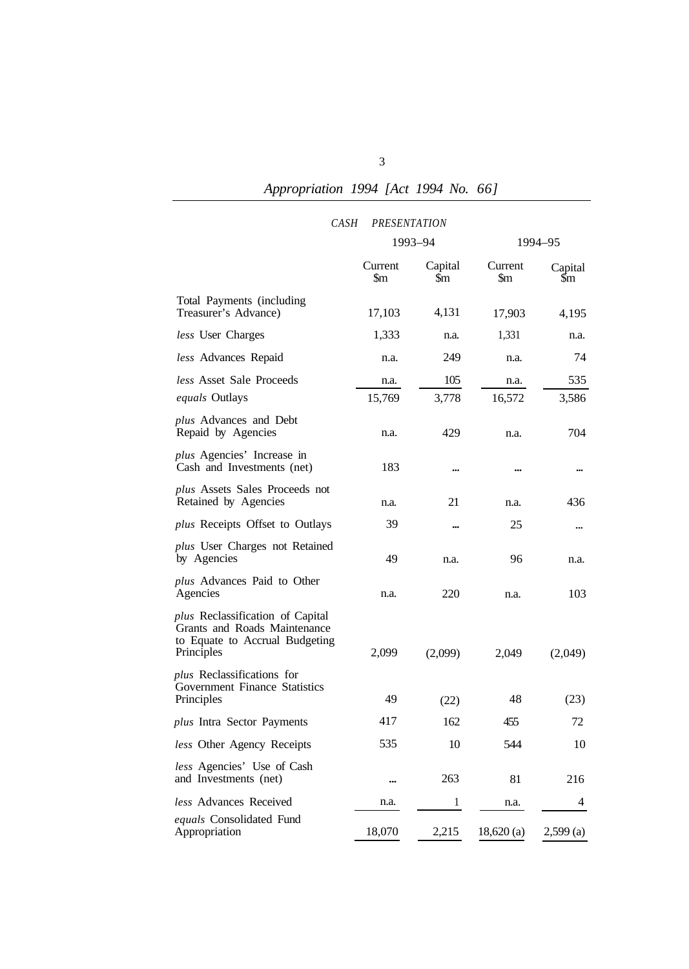## *Appropriation 1994 [Act 1994 No. 66]*

| CASH                                                                                                             | <b>PRESENTATION</b> |                |                |                           |  |
|------------------------------------------------------------------------------------------------------------------|---------------------|----------------|----------------|---------------------------|--|
|                                                                                                                  |                     | 1993-94        |                | 1994-95                   |  |
|                                                                                                                  | Current<br>\$m      | Capital<br>\$m | Current<br>\$m | Capital<br>$\mathfrak{m}$ |  |
| Total Payments (including<br>Treasurer's Advance)                                                                | 17,103              | 4,131          | 17,903         | 4,195                     |  |
| less User Charges                                                                                                | 1,333               | n.a.           | 1,331          | n.a.                      |  |
| less Advances Repaid                                                                                             | n.a.                | 249            | n.a.           | 74                        |  |
| less Asset Sale Proceeds                                                                                         | n.a.                | 105            | n.a.           | 535                       |  |
| <i>equals</i> Outlays                                                                                            | 15,769              | 3,778          | 16,572         | 3,586                     |  |
| plus Advances and Debt<br>Repaid by Agencies                                                                     | n.a.                | 429            | n.a.           | 704                       |  |
| <i>plus</i> Agencies' Increase in<br>Cash and Investments (net)                                                  | 183                 |                |                |                           |  |
| plus Assets Sales Proceeds not<br>Retained by Agencies                                                           | n.a.                | 21             | n.a.           | 436                       |  |
| <i>plus</i> Receipts Offset to Outlays                                                                           | 39                  |                | 25             |                           |  |
| plus User Charges not Retained<br>by Agencies                                                                    | 49                  | n.a.           | 96             | n.a.                      |  |
| <i>plus</i> Advances Paid to Other<br>Agencies                                                                   | n.a.                | 220            | n.a.           | 103                       |  |
| plus Reclassification of Capital<br>Grants and Roads Maintenance<br>to Equate to Accrual Budgeting<br>Principles | 2,099               | (2,099)        | 2,049          | (2,049)                   |  |
| <i>plus</i> Reclassifications for<br><b>Government Finance Statistics</b><br>Principles                          | 49                  | (22)           | 48             | (23)                      |  |
| plus Intra Sector Payments                                                                                       | 417                 | 162            | 455            | 72                        |  |
| less Other Agency Receipts                                                                                       | 535                 | 10             | 544            | 10                        |  |
| less Agencies' Use of Cash<br>and Investments (net)                                                              |                     | 263            | 81             | 216                       |  |
| less Advances Received                                                                                           | n.a.                | 1              | n.a.           | 4                         |  |
| equals Consolidated Fund                                                                                         |                     |                |                |                           |  |
| Appropriation                                                                                                    | 18,070              | 2,215          | 18,620(a)      | $2,599$ (a)               |  |